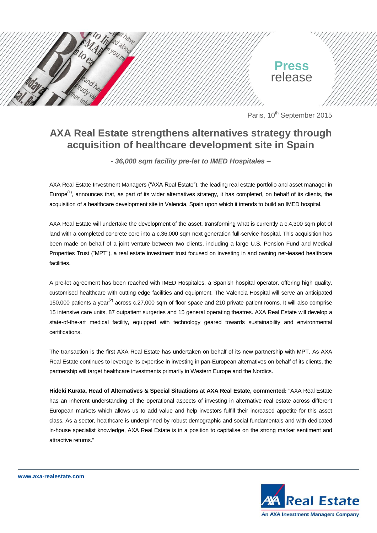

Paris, 10<sup>th</sup> September 2015

## **AXA Real Estate strengthens alternatives strategy through acquisition of healthcare development site in Spain**

*- 36,000 sqm facility pre-let to IMED Hospitales –*

AXA Real Estate Investment Managers ("AXA Real Estate"), the leading real estate portfolio and asset manager in Europe<sup>(1)</sup>, announces that, as part of its wider alternatives strategy, it has completed, on behalf of its clients, the acquisition of a healthcare development site in Valencia, Spain upon which it intends to build an IMED hospital.

AXA Real Estate will undertake the development of the asset, transforming what is currently a c.4,300 sqm plot of land with a completed concrete core into a c.36,000 sqm next generation full-service hospital. This acquisition has been made on behalf of a joint venture between two clients, including a large U.S. Pension Fund and Medical Properties Trust ("MPT"), a real estate investment trust focused on investing in and owning net-leased healthcare facilities.

A pre-let agreement has been reached with IMED Hospitales, a Spanish hospital operator, offering high quality, customised healthcare with cutting edge facilities and equipment. The Valencia Hospital will serve an anticipated 150,000 patients a year<sup>(2)</sup> across c.27,000 sqm of floor space and 210 private patient rooms. It will also comprise 15 intensive care units, 87 outpatient surgeries and 15 general operating theatres. AXA Real Estate will develop a state-of-the-art medical facility, equipped with technology geared towards sustainability and environmental certifications.

The transaction is the first AXA Real Estate has undertaken on behalf of its new partnership with MPT. As AXA Real Estate continues to leverage its expertise in investing in pan-European alternatives on behalf of its clients, the partnership will target healthcare investments primarily in Western Europe and the Nordics.

**Hideki Kurata, Head of Alternatives & Special Situations at AXA Real Estate, commented:** "AXA Real Estate has an inherent understanding of the operational aspects of investing in alternative real estate across different European markets which allows us to add value and help investors fulfill their increased appetite for this asset class. As a sector, healthcare is underpinned by robust demographic and social fundamentals and with dedicated in-house specialist knowledge, AXA Real Estate is in a position to capitalise on the strong market sentiment and attractive returns."



**www.axa-realestate.com**